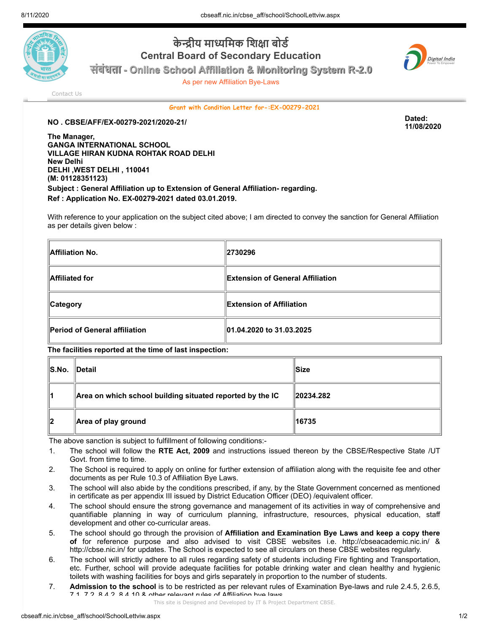

## **केीय मािमक िशा बोड Central Board of Secondary Education**



**11/08/2020**

**संबंधता - Online School Affiliation & Monitoring System R-2.0**

As per new Affiliation Bye-Laws

[Contact Us](http://cbseaff.nic.in/cbse_aff/help.aspx)

**Grant with Condition Letter for-:EX-00279-2021**

**NO . CBSE/AFF/EX-00279-2021/2020-21/ Dated:**

**The Manager, GANGA INTERNATIONAL SCHOOL VILLAGE HIRAN KUDNA ROHTAK ROAD DELHI New Delhi DELHI ,WEST DELHI , 110041 (M: 01128351123) Subject : General Affiliation up to Extension of General Affiliation- regarding. Ref : Application No. EX-00279-2021 dated 03.01.2019.**

With reference to your application on the subject cited above; I am directed to convey the sanction for General Affiliation as per details given below :

| Affiliation No.               | 2730296                           |  |
|-------------------------------|-----------------------------------|--|
| Affiliated for                | ∥Extension of General Affiliation |  |
| <b>Category</b>               | <b>Extension of Affiliation</b>   |  |
| Period of General affiliation | 01.04.2020 to 31.03.2025          |  |

**The facilities reported at the time of last inspection:**

| ∥S.No.        | ∥Detail                                                   | ∣Size                 |
|---------------|-----------------------------------------------------------|-----------------------|
| 11            | Area on which school building situated reported by the IC | $\parallel$ 20234.282 |
| $\mathsf{I2}$ | Area of play ground                                       | 16735                 |

The above sanction is subject to fulfillment of following conditions:-

- 1. The school will follow the **RTE Act, 2009** and instructions issued thereon by the CBSE/Respective State /UT Govt. from time to time.
- 2. The School is required to apply on online for further extension of affiliation along with the requisite fee and other documents as per Rule 10.3 of Affiliation Bye Laws.
- 3. The school will also abide by the conditions prescribed, if any, by the State Government concerned as mentioned in certificate as per appendix III issued by District Education Officer (DEO) /equivalent officer.
- 4. The school should ensure the strong governance and management of its activities in way of comprehensive and quantifiable planning in way of curriculum planning, infrastructure, resources, physical education, staff development and other co-curricular areas.
- 5. The school should go through the provision of **Affiliation and Examination Bye Laws and keep a copy there of** for reference purpose and also advised to visit CBSE websites i.e. http://cbseacademic.nic.in/ & http://cbse.nic.in/ for updates. The School is expected to see all circulars on these CBSE websites regularly.
- 6. The school will strictly adhere to all rules regarding safety of students including Fire fighting and Transportation, etc. Further, school will provide adequate facilities for potable drinking water and clean healthy and hygienic toilets with washing facilities for boys and girls separately in proportion to the number of students.
- 7. **Admission to the school** is to be restricted as per relevant rules of Examination Bye-laws and rule 2.4.5, 2.6.5, 7.1, 7.2, 8.4.2, 8.4.10 & other relevant rules of Affiliation bye laws.